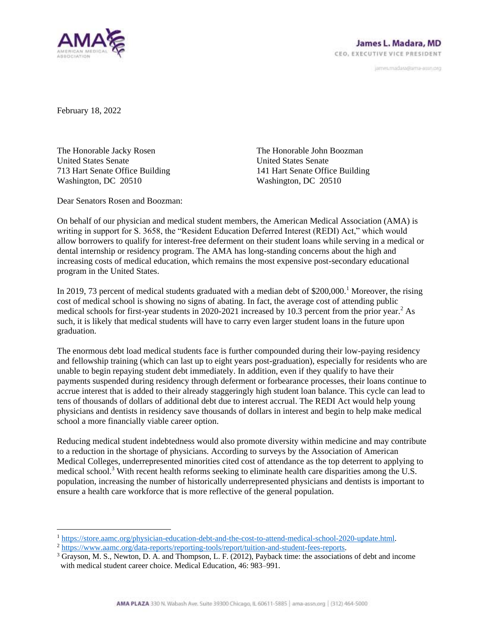

janves.madara@ama-assn.org

February 18, 2022

The Honorable Jacky Rosen United States Senate 713 Hart Senate Office Building Washington, DC 20510

The Honorable John Boozman United States Senate 141 Hart Senate Office Building Washington, DC 20510

Dear Senators Rosen and Boozman:

On behalf of our physician and medical student members, the American Medical Association (AMA) is writing in support for S. 3658, the "Resident Education Deferred Interest (REDI) Act," which would allow borrowers to qualify for interest-free deferment on their student loans while serving in a medical or dental internship or residency program. The AMA has long-standing concerns about the high and increasing costs of medical education, which remains the most expensive post-secondary educational program in the United States.

In 2019, 73 percent of medical students graduated with a median debt of \$200,000.<sup>1</sup> Moreover, the rising cost of medical school is showing no signs of abating. In fact, the average cost of attending public medical schools for first-year students in 2020-2021 increased by 10.3 percent from the prior year.<sup>2</sup> As such, it is likely that medical students will have to carry even larger student loans in the future upon graduation.

The enormous debt load medical students face is further compounded during their low-paying residency and fellowship training (which can last up to eight years post-graduation), especially for residents who are unable to begin repaying student debt immediately. In addition, even if they qualify to have their payments suspended during residency through deferment or forbearance processes, their loans continue to accrue interest that is added to their already staggeringly high student loan balance. This cycle can lead to tens of thousands of dollars of additional debt due to interest accrual. The REDI Act would help young physicians and dentists in residency save thousands of dollars in interest and begin to help make medical school a more financially viable career option.

Reducing medical student indebtedness would also promote diversity within medicine and may contribute to a reduction in the shortage of physicians. According to surveys by the Association of American Medical Colleges, underrepresented minorities cited cost of attendance as the top deterrent to applying to medical school.<sup>3</sup> With recent health reforms seeking to eliminate health care disparities among the U.S. population, increasing the number of historically underrepresented physicians and dentists is important to ensure a health care workforce that is more reflective of the general population.

<sup>1</sup> [https://store.aamc.org/physician-education-debt-and-the-cost-to-attend-medical-school-2020-update.html.](https://store.aamc.org/physician-education-debt-and-the-cost-to-attend-medical-school-2020-update.html) 

<sup>2</sup> [https://www.aamc.org/data-reports/reporting-tools/report/tuition-and-student-fees-reports.](https://www.aamc.org/data-reports/reporting-tools/report/tuition-and-student-fees-reports) 

<sup>3</sup> Grayson, M. S., Newton, D. A. and Thompson, L. F. (2012), Payback time: the associations of debt and income with medical student career choice. Medical Education, 46: 983–991.